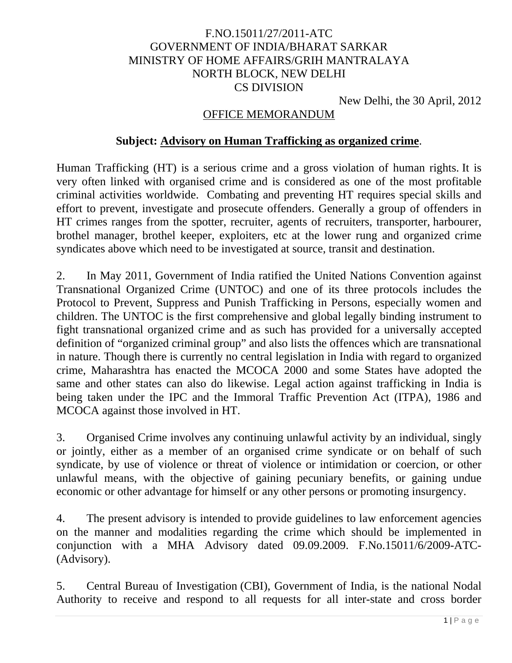# F.NO.15011/27/2011-ATC GOVERNMENT OF INDIA/BHARAT SARKAR MINISTRY OF HOME AFFAIRS/GRIH MANTRALAYA NORTH BLOCK, NEW DELHI CS DIVISION

New Delhi, the 30 April, 2012

### OFFICE MEMORANDUM

### **Subject: Advisory on Human Trafficking as organized crime**.

Human Trafficking (HT) is a serious crime and a gross violation of human rights. It is very often linked with organised crime and is considered as one of the most profitable criminal activities worldwide. Combating and preventing HT requires special skills and effort to prevent, investigate and prosecute offenders. Generally a group of offenders in HT crimes ranges from the spotter, recruiter, agents of recruiters, transporter, harbourer, brothel manager, brothel keeper, exploiters, etc at the lower rung and organized crime syndicates above which need to be investigated at source, transit and destination.

2. In May 2011, Government of India ratified the United Nations Convention against Transnational Organized Crime (UNTOC) and one of its three protocols includes the Protocol to Prevent, Suppress and Punish Trafficking in Persons, especially women and children. The UNTOC is the first comprehensive and global legally binding instrument to fight transnational organized crime and as such has provided for a universally accepted definition of "organized criminal group" and also lists the offences which are transnational in nature. Though there is currently no central legislation in India with regard to organized crime, Maharashtra has enacted the MCOCA 2000 and some States have adopted the same and other states can also do likewise. Legal action against trafficking in India is being taken under the IPC and the Immoral Traffic Prevention Act (ITPA), 1986 and MCOCA against those involved in HT.

3. Organised Crime involves any continuing unlawful activity by an individual, singly or jointly, either as a member of an organised crime syndicate or on behalf of such syndicate, by use of violence or threat of violence or intimidation or coercion, or other unlawful means, with the objective of gaining pecuniary benefits, or gaining undue economic or other advantage for himself or any other persons or promoting insurgency.

4. The present advisory is intended to provide guidelines to law enforcement agencies on the manner and modalities regarding the crime which should be implemented in conjunction with a MHA Advisory dated 09.09.2009. F.No.15011/6/2009-ATC- (Advisory).

5. Central Bureau of Investigation (CBI), Government of India, is the national Nodal Authority to receive and respond to all requests for all inter-state and cross border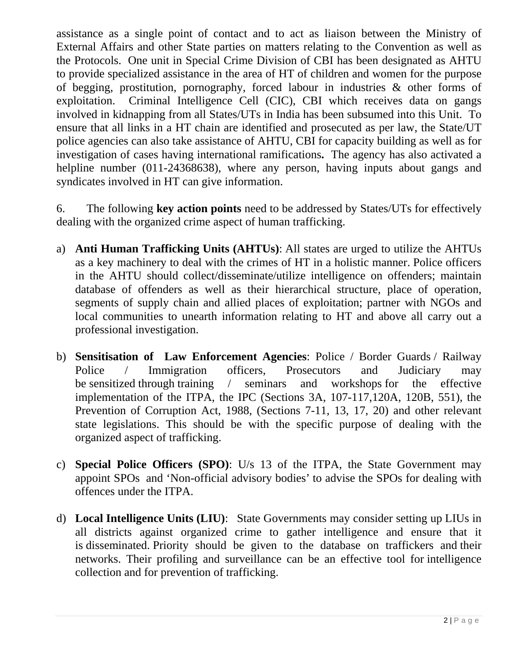assistance as a single point of contact and to act as liaison between the Ministry of External Affairs and other State parties on matters relating to the Convention as well as the Protocols. One unit in Special Crime Division of CBI has been designated as AHTU to provide specialized assistance in the area of HT of children and women for the purpose of begging, prostitution, pornography, forced labour in industries & other forms of exploitation. Criminal Intelligence Cell (CIC), CBI which receives data on gangs involved in kidnapping from all States/UTs in India has been subsumed into this Unit. To ensure that all links in a HT chain are identified and prosecuted as per law, the State/UT police agencies can also take assistance of AHTU, CBI for capacity building as well as for investigation of cases having international ramifications**.** The agency has also activated a helpline number (011-24368638), where any person, having inputs about gangs and syndicates involved in HT can give information.

6. The following **key action points** need to be addressed by States/UTs for effectively dealing with the organized crime aspect of human trafficking.

- a) **Anti Human Trafficking Units (AHTUs)**: All states are urged to utilize the AHTUs as a key machinery to deal with the crimes of HT in a holistic manner. Police officers in the AHTU should collect/disseminate/utilize intelligence on offenders; maintain database of offenders as well as their hierarchical structure, place of operation, segments of supply chain and allied places of exploitation; partner with NGOs and local communities to unearth information relating to HT and above all carry out a professional investigation.
- b) **Sensitisation of Law Enforcement Agencies**: Police / Border Guards / Railway Police / Immigration officers. Prosecutors and Judiciary may be sensitized through training / seminars and workshops for the effective implementation of the ITPA, the IPC (Sections 3A, 107-117,120A, 120B, 551), the Prevention of Corruption Act, 1988, (Sections 7-11, 13, 17, 20) and other relevant state legislations. This should be with the specific purpose of dealing with the organized aspect of trafficking.
- c) **Special Police Officers (SPO)**: U/s 13 of the ITPA, the State Government may appoint SPOs and 'Non-official advisory bodies' to advise the SPOs for dealing with offences under the ITPA.
- d) **Local Intelligence Units (LIU)**: State Governments may consider setting up LIUs in all districts against organized crime to gather intelligence and ensure that it is disseminated. Priority should be given to the database on traffickers and their networks. Their profiling and surveillance can be an effective tool for intelligence collection and for prevention of trafficking.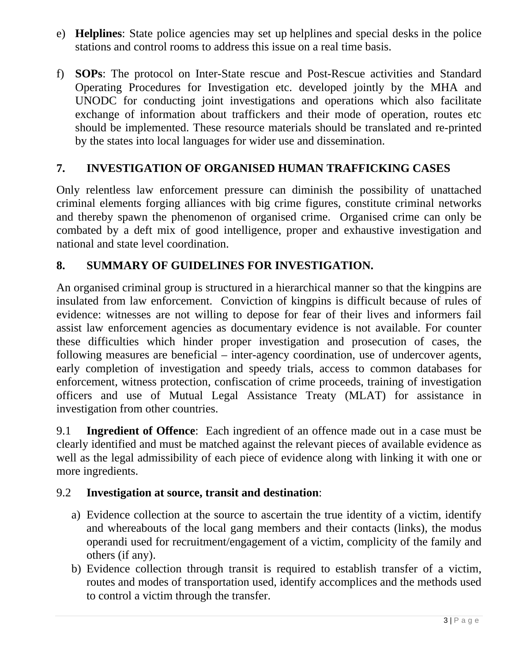- e) **Helplines**: State police agencies may set up helplines and special desks in the police stations and control rooms to address this issue on a real time basis.
- f) **SOPs**: The protocol on Inter-State rescue and Post-Rescue activities and Standard Operating Procedures for Investigation etc. developed jointly by the MHA and UNODC for conducting joint investigations and operations which also facilitate exchange of information about traffickers and their mode of operation, routes etc should be implemented. These resource materials should be translated and re-printed by the states into local languages for wider use and dissemination.

## **7. INVESTIGATION OF ORGANISED HUMAN TRAFFICKING CASES**

Only relentless law enforcement pressure can diminish the possibility of unattached criminal elements forging alliances with big crime figures, constitute criminal networks and thereby spawn the phenomenon of organised crime. Organised crime can only be combated by a deft mix of good intelligence, proper and exhaustive investigation and national and state level coordination.

## **8. SUMMARY OF GUIDELINES FOR INVESTIGATION.**

An organised criminal group is structured in a hierarchical manner so that the kingpins are insulated from law enforcement. Conviction of kingpins is difficult because of rules of evidence: witnesses are not willing to depose for fear of their lives and informers fail assist law enforcement agencies as documentary evidence is not available. For counter these difficulties which hinder proper investigation and prosecution of cases, the following measures are beneficial – inter-agency coordination, use of undercover agents, early completion of investigation and speedy trials, access to common databases for enforcement, witness protection, confiscation of crime proceeds, training of investigation officers and use of Mutual Legal Assistance Treaty (MLAT) for assistance in investigation from other countries.

9.1 **Ingredient of Offence**: Each ingredient of an offence made out in a case must be clearly identified and must be matched against the relevant pieces of available evidence as well as the legal admissibility of each piece of evidence along with linking it with one or more ingredients.

### 9.2 **Investigation at source, transit and destination**:

- a) Evidence collection at the source to ascertain the true identity of a victim, identify and whereabouts of the local gang members and their contacts (links), the modus operandi used for recruitment/engagement of a victim, complicity of the family and others (if any).
- b) Evidence collection through transit is required to establish transfer of a victim, routes and modes of transportation used, identify accomplices and the methods used to control a victim through the transfer.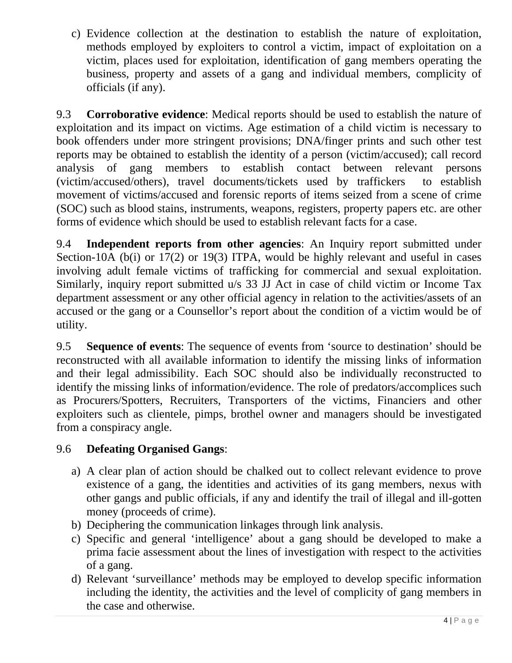c) Evidence collection at the destination to establish the nature of exploitation, methods employed by exploiters to control a victim, impact of exploitation on a victim, places used for exploitation, identification of gang members operating the business, property and assets of a gang and individual members, complicity of officials (if any).

9.3 **Corroborative evidence**: Medical reports should be used to establish the nature of exploitation and its impact on victims. Age estimation of a child victim is necessary to book offenders under more stringent provisions; DNA/finger prints and such other test reports may be obtained to establish the identity of a person (victim/accused); call record analysis of gang members to establish contact between relevant persons (victim/accused/others), travel documents/tickets used by traffickers to establish movement of victims/accused and forensic reports of items seized from a scene of crime (SOC) such as blood stains, instruments, weapons, registers, property papers etc. are other forms of evidence which should be used to establish relevant facts for a case.

9.4 **Independent reports from other agencies**: An Inquiry report submitted under Section-10A (b(i) or 17(2) or 19(3) ITPA, would be highly relevant and useful in cases involving adult female victims of trafficking for commercial and sexual exploitation. Similarly, inquiry report submitted u/s 33 JJ Act in case of child victim or Income Tax department assessment or any other official agency in relation to the activities/assets of an accused or the gang or a Counsellor's report about the condition of a victim would be of utility.

9.5 **Sequence of events**: The sequence of events from 'source to destination' should be reconstructed with all available information to identify the missing links of information and their legal admissibility. Each SOC should also be individually reconstructed to identify the missing links of information/evidence. The role of predators/accomplices such as Procurers/Spotters, Recruiters, Transporters of the victims, Financiers and other exploiters such as clientele, pimps, brothel owner and managers should be investigated from a conspiracy angle.

# 9.6 **Defeating Organised Gangs**:

- a) A clear plan of action should be chalked out to collect relevant evidence to prove existence of a gang, the identities and activities of its gang members, nexus with other gangs and public officials, if any and identify the trail of illegal and ill-gotten money (proceeds of crime).
- b) Deciphering the communication linkages through link analysis.
- c) Specific and general 'intelligence' about a gang should be developed to make a prima facie assessment about the lines of investigation with respect to the activities of a gang.
- d) Relevant 'surveillance' methods may be employed to develop specific information including the identity, the activities and the level of complicity of gang members in the case and otherwise.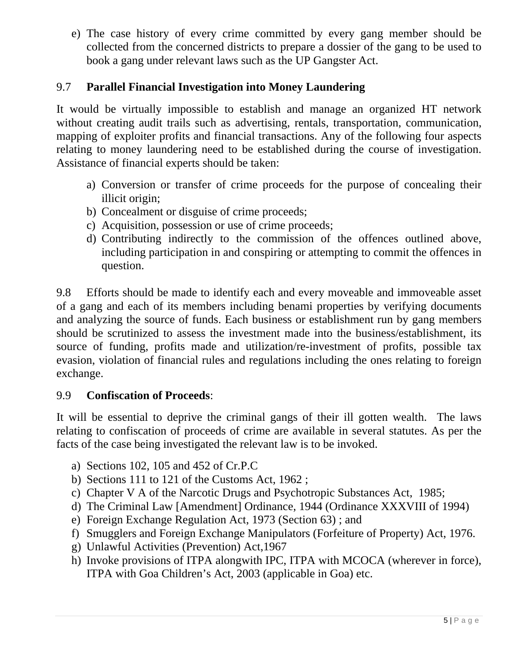e) The case history of every crime committed by every gang member should be collected from the concerned districts to prepare a dossier of the gang to be used to book a gang under relevant laws such as the UP Gangster Act.

# 9.7 **Parallel Financial Investigation into Money Laundering**

It would be virtually impossible to establish and manage an organized HT network without creating audit trails such as advertising, rentals, transportation, communication, mapping of exploiter profits and financial transactions. Any of the following four aspects relating to money laundering need to be established during the course of investigation. Assistance of financial experts should be taken:

- a) Conversion or transfer of crime proceeds for the purpose of concealing their illicit origin;
- b) Concealment or disguise of crime proceeds;
- c) Acquisition, possession or use of crime proceeds;
- d) Contributing indirectly to the commission of the offences outlined above, including participation in and conspiring or attempting to commit the offences in question.

9.8 Efforts should be made to identify each and every moveable and immoveable asset of a gang and each of its members including benami properties by verifying documents and analyzing the source of funds. Each business or establishment run by gang members should be scrutinized to assess the investment made into the business/establishment, its source of funding, profits made and utilization/re-investment of profits, possible tax evasion, violation of financial rules and regulations including the ones relating to foreign exchange.

# 9.9 **Confiscation of Proceeds**:

It will be essential to deprive the criminal gangs of their ill gotten wealth. The laws relating to confiscation of proceeds of crime are available in several statutes. As per the facts of the case being investigated the relevant law is to be invoked.

- a) Sections 102, 105 and 452 of Cr.P.C
- b) Sections 111 to 121 of the Customs Act, 1962 ;
- c) Chapter V A of the Narcotic Drugs and Psychotropic Substances Act, 1985;
- d) The Criminal Law [Amendment] Ordinance, 1944 (Ordinance XXXVIII of 1994)
- e) Foreign Exchange Regulation Act, 1973 (Section 63) ; and
- f) Smugglers and Foreign Exchange Manipulators (Forfeiture of Property) Act, 1976.
- g) Unlawful Activities (Prevention) Act,1967
- h) Invoke provisions of ITPA alongwith IPC, ITPA with MCOCA (wherever in force), ITPA with Goa Children's Act, 2003 (applicable in Goa) etc.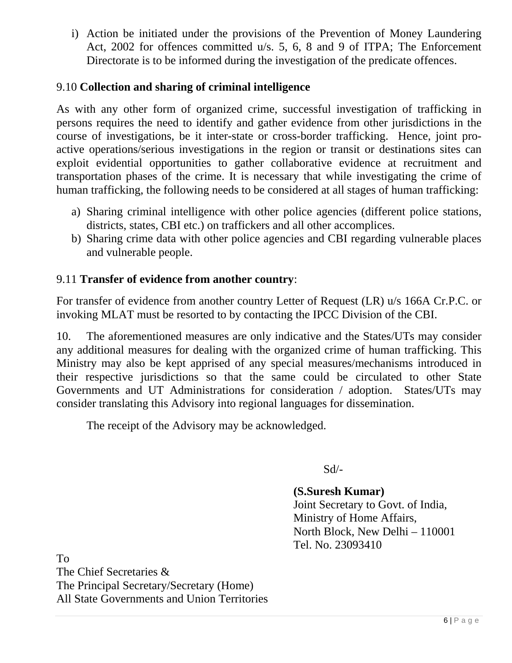i) Action be initiated under the provisions of the Prevention of Money Laundering Act, 2002 for offences committed u/s. 5, 6, 8 and 9 of ITPA; The Enforcement Directorate is to be informed during the investigation of the predicate offences.

## 9.10 **Collection and sharing of criminal intelligence**

As with any other form of organized crime, successful investigation of trafficking in persons requires the need to identify and gather evidence from other jurisdictions in the course of investigations, be it inter-state or cross-border trafficking. Hence, joint proactive operations/serious investigations in the region or transit or destinations sites can exploit evidential opportunities to gather collaborative evidence at recruitment and transportation phases of the crime. It is necessary that while investigating the crime of human trafficking, the following needs to be considered at all stages of human trafficking:

- a) Sharing criminal intelligence with other police agencies (different police stations, districts, states, CBI etc.) on traffickers and all other accomplices.
- b) Sharing crime data with other police agencies and CBI regarding vulnerable places and vulnerable people.

### 9.11 **Transfer of evidence from another country**:

For transfer of evidence from another country Letter of Request (LR) u/s 166A Cr.P.C. or invoking MLAT must be resorted to by contacting the IPCC Division of the CBI.

10. The aforementioned measures are only indicative and the States/UTs may consider any additional measures for dealing with the organized crime of human trafficking. This Ministry may also be kept apprised of any special measures/mechanisms introduced in their respective jurisdictions so that the same could be circulated to other State Governments and UT Administrations for consideration / adoption. States/UTs may consider translating this Advisory into regional languages for dissemination.

The receipt of the Advisory may be acknowledged.

Sd/-

**(S.Suresh Kumar)**  Joint Secretary to Govt. of India, Ministry of Home Affairs, North Block, New Delhi – 110001 Tel. No. 23093410

To The Chief Secretaries & The Principal Secretary/Secretary (Home) All State Governments and Union Territories